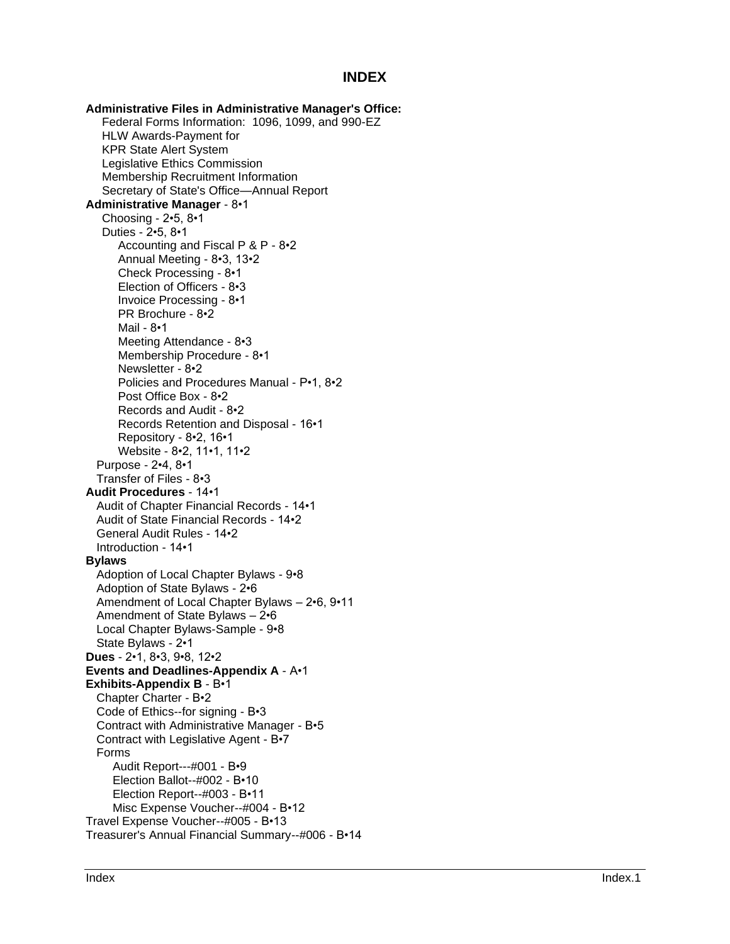## **INDEX**

**Administrative Files in Administrative Manager's Office:** Federal Forms Information: 1096, 1099, and 990 -EZ HLW Awards -Payment for KPR State Alert System Legislative Ethics Commission Membership Recruitment Information Secretary of State's Office —Annual Report **Administrative Manager** - 8•1 Choosing - 2•5, 8•1 Duties - 2•5, 8•1 Accounting and Fiscal P & P - 8•2 Annual Meeting - 8•3, 13•2 Check Processing - 8•1 Election of Officers - 8•3 Invoice Processing - 8•1 PR Brochure - 8•2 Mail - 8•1 Meeting Attendance - 8•3 Membership Procedure - 8•1 Newsletter - 8•2 Policies and Procedures Manual - P•1, 8•2 Post Office Box - 8•2 Records and Audit - 8•2 Records Retention and Disposal - 16•1 Repository - 8•2, 16•1 Website - 8•2, 11•1, 11•2 Purpose - 2•4, 8•1 Transfer of Files - 8•3 **Audit Procedures** - 14•1 Audit of Chapter Financial Records - 14•1 Audit of State Financial Records - 14•2 General Audit Rules - 14•2 Introduction - 14•1 **Bylaws** Adoption of Local Chapter Bylaws - 9•8 Adoption of State Bylaws - 2•6 Amendment of Local Chapter Bylaws – 2•6, 9•11 Amendment of State Bylaws – 2•6 Local Chapter Bylaws -Sample - 9•8 State Bylaws - 2•1 **Dues** - 2•1, 8•3, 9•8, 12•2 **Events and Deadlines -Appendix A** - A•1 **Exhibits-Appendix B - B•1** Chapter Charter - B•2 Code of Ethics--for signing - B•3 Contract with Administrative Manager - B•5 Contract with Legislative Agent - B•7 Forms Audit Report---#001 - B•9 Election Ballot--#002 - B•10 Election Report--#003 - B•11 Misc Expense Voucher--#004 - B•12 Travel Expense Voucher--#005 - B•13 Treasurer's Annual Financial Summary--#006 - B•14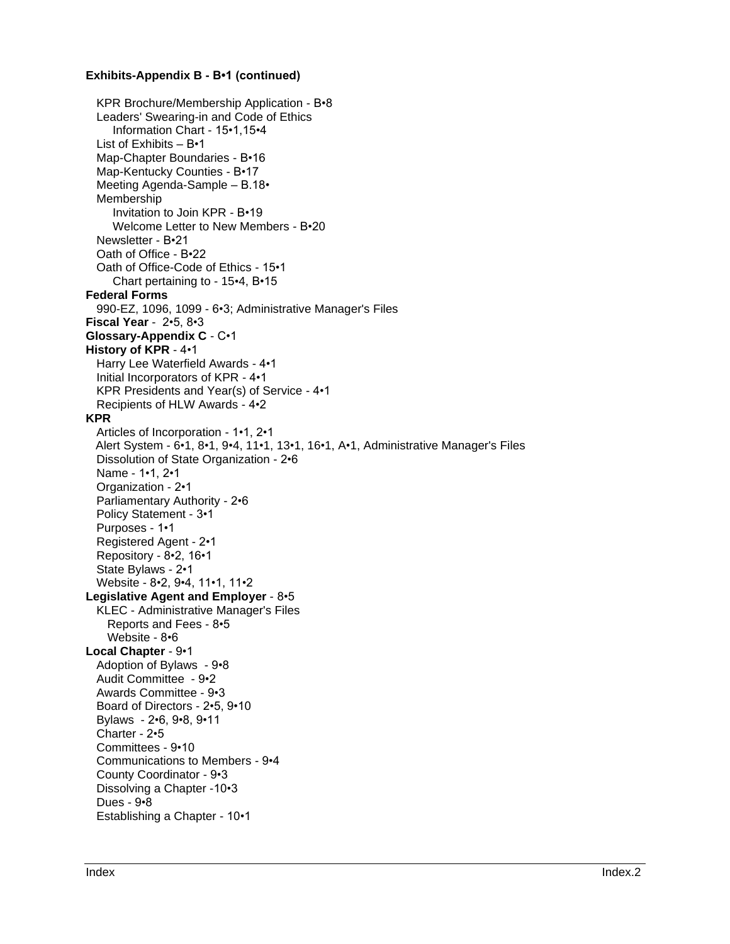## **Exhibits-Appendix B - B•1 (continued)**

KPR Brochure/Membership Application - B•8 Leaders' Swearing-in and Code of Ethics Information Chart - 15•1,15•4 List of Exhibits – B•1 Map-Chapter Boundaries - B•16 Map-Kentucky Counties - B•17 Meeting Agenda-Sample – B.18• Membership Invitation to Join KPR - B•19 Welcome Letter to New Members - B•20 Newsletter - B•21 Oath of Office - B•22 Oath of Office-Code of Ethics - 15•1 Chart pertaining to - 15•4, B•15 **Federal Forms** 990-EZ, 1096, 1099 - 6•3; Administrative Manager's Files **Fiscal Year** - 2•5, 8•3 **Glossary-Appendix C** - C•1 **History of KPR** - 4•1 Harry Lee Waterfield Awards - 4•1 Initial Incorporators of KPR - 4•1 KPR Presidents and Year(s) of Service - 4•1 Recipients of HLW Awards - 4•2 **KPR** Articles of Incorporation - 1•1, 2•1 Alert System - 6•1, 8•1, 9•4, 11•1, 13•1, 16•1, A•1, Administrative Manager's Files Dissolution of State Organization - 2•6 Name - 1•1, 2•1 Organization - 2•1 Parliamentary Authority - 2•6 Policy Statement - 3•1 Purposes - 1•1 Registered Agent - 2•1 Repository - 8•2, 16•1 State Bylaws - 2•1 Website - 8•2, 9•4, 11•1, 11•2 **Legislative Agent and Employer** - 8•5 KLEC - Administrative Manager's Files Reports and Fees - 8•5 Website - 8•6 **Local Chapter** - 9•1 Adoption of Bylaws - 9•8 Audit Committee - 9•2 Awards Committee - 9•3 Board of Directors - 2•5, 9•10 Bylaws - 2•6, 9•8, 9•11 Charter - 2•5 Committees - 9•10 Communications to Members - 9•4 County Coordinator - 9•3 Dissolving a Chapter -10•3 Dues - 9•8 Establishing a Chapter - 10•1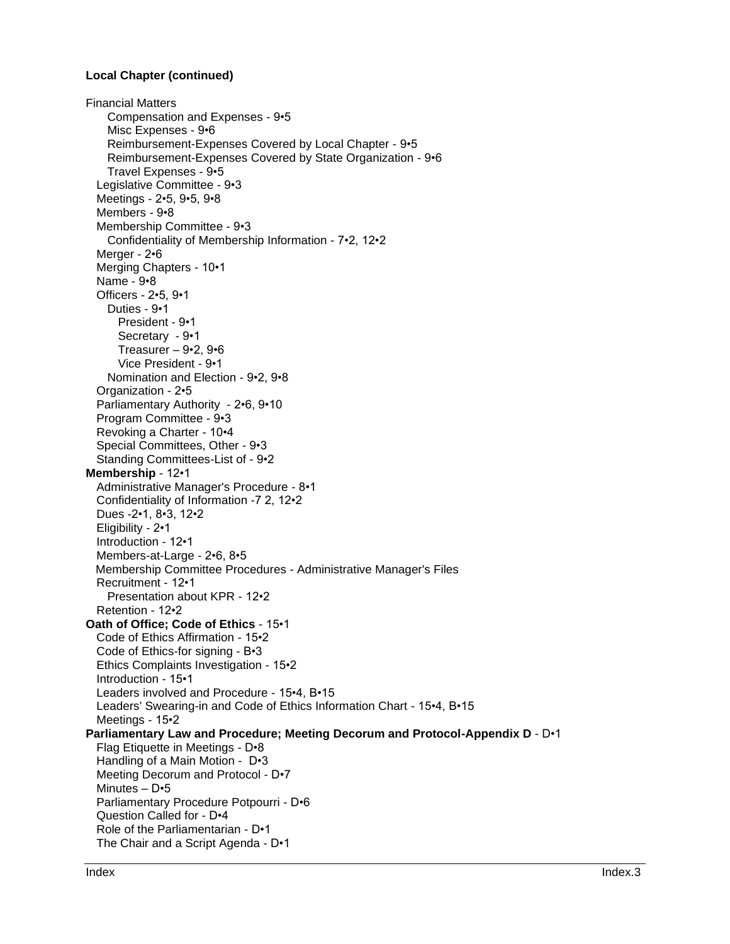## **Local Chapter (continued)**

Financial Matters Compensation and Expenses - 9•5 Misc Expenses - 9•6 Reimbursement-Expenses Covered by Local Chapter - 9•5 Reimbursement-Expenses Covered by State Organization - 9•6 Travel Expenses - 9•5 Legislative Committee - 9•3 Meetings - 2•5, 9•5, 9•8 Members - 9•8 Membership Committee - 9•3 Confidentiality of Membership Information - 7•2, 12•2 Merger - 2•6 Merging Chapters - 10•1 Name - 9•8 Officers - 2•5, 9•1 Duties - 9•1 President - 9•1 Secretary - 9•1 Treasurer – 9•2, 9•6 Vice President - 9•1 Nomination and Election - 9•2, 9•8 Organization - 2•5 Parliamentary Authority - 2•6, 9•10 Program Committee - 9•3 Revoking a Charter - 10•4 Special Committees, Other - 9•3 Standing Committees-List of - 9•2 **Membership** - 12•1 Administrative Manager's Procedure - 8•1 Confidentiality of Information -7 2, 12•2 Dues -2•1, 8•3, 12•2 Eligibility - 2•1 Introduction - 12•1 Members-at-Large - 2•6, 8•5 Membership Committee Procedures - Administrative Manager's Files Recruitment - 12•1 Presentation about KPR - 12•2 Retention - 12•2 **Oath of Office; Code of Ethics** - 15•1 Code of Ethics Affirmation - 15•2 Code of Ethics-for signing - B•3 Ethics Complaints Investigation - 15•2 Introduction - 15•1 Leaders involved and Procedure - 15•4, B•15 Leaders' Swearing-in and Code of Ethics Information Chart - 15•4, B•15 Meetings - 15•2 **Parliamentary Law and Procedure; Meeting Decorum and Protocol-Appendix D** - D•1 Flag Etiquette in Meetings - D•8 Handling of a Main Motion - D•3 Meeting Decorum and Protocol - D•7 Minutes – D•5 Parliamentary Procedure Potpourri - D•6 Question Called for - D•4 Role of the Parliamentarian - D•1 The Chair and a Script Agenda - D•1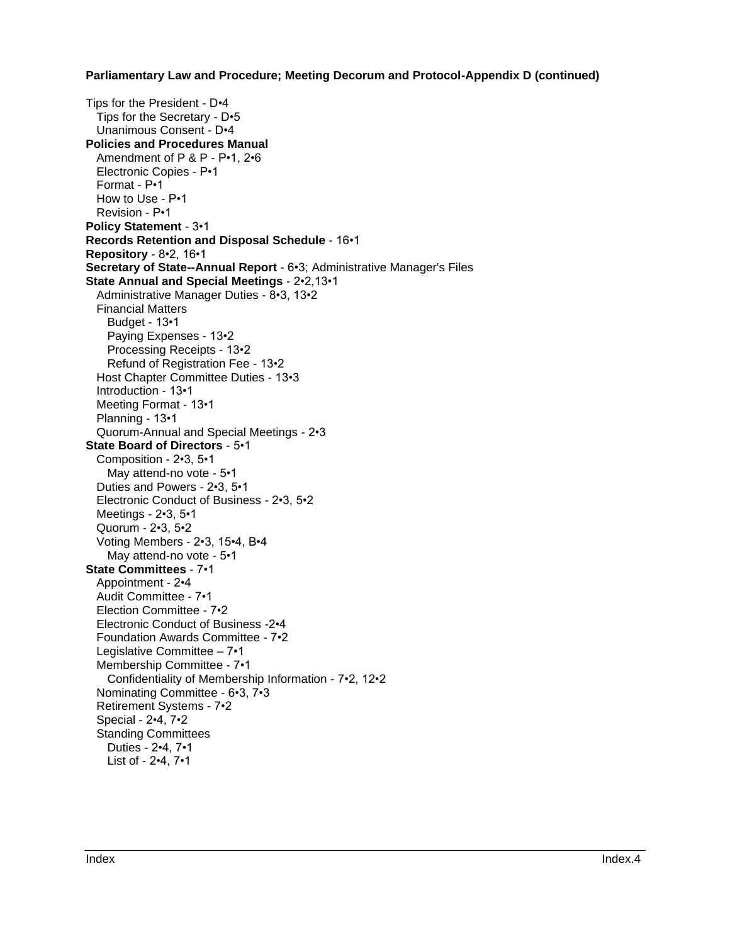**Parliamentary Law and Procedure; Meeting Decorum and Protocol-Appendix D (continued)**

Tips for the President - D•4 Tips for the Secretary - D•5 Unanimous Consent - D•4 **Policies and Procedures Manual**  Amendment of P & P - P•1, 2•6 Electronic Copies - P•1 Format - P•1 How to Use - P•1 Revision - P•1 **Policy Statement** - 3•1 **Records Retention and Disposal Schedule** - 16•1 **Repository** - 8•2, 16•1 **Secretary of State--Annual Report** - 6•3; Administrative Manager's Files **State Annual and Special Meetings** - 2•2,13•1 Administrative Manager Duties - 8•3, 13•2 Financial Matters Budget - 13•1 Paying Expenses - 13•2 Processing Receipts - 13•2 Refund of Registration Fee - 13•2 Host Chapter Committee Duties - 13•3 Introduction - 13•1 Meeting Format - 13•1 Planning - 13•1 Quorum-Annual and Special Meetings - 2•3 **State Board of Directors** - 5•1 Composition - 2•3, 5•1 May attend-no vote - 5•1 Duties and Powers - 2•3, 5•1 Electronic Conduct of Business - 2•3, 5•2 Meetings - 2•3, 5•1 Quorum - 2•3, 5•2 Voting Members - 2•3, 15•4, B•4 May attend-no vote - 5•1 **State Committees** - 7•1 Appointment - 2•4 Audit Committee - 7•1 Election Committee - 7•2 Electronic Conduct of Business -2•4 Foundation Awards Committee - 7•2 Legislative Committee – 7•1 Membership Committee - 7•1 Confidentiality of Membership Information - 7•2, 12•2 Nominating Committee - 6•3, 7•3 Retirement Systems - 7•2 Special - 2•4, 7•2 Standing Committees Duties - 2•4, 7•1 List of - 2•4, 7•1